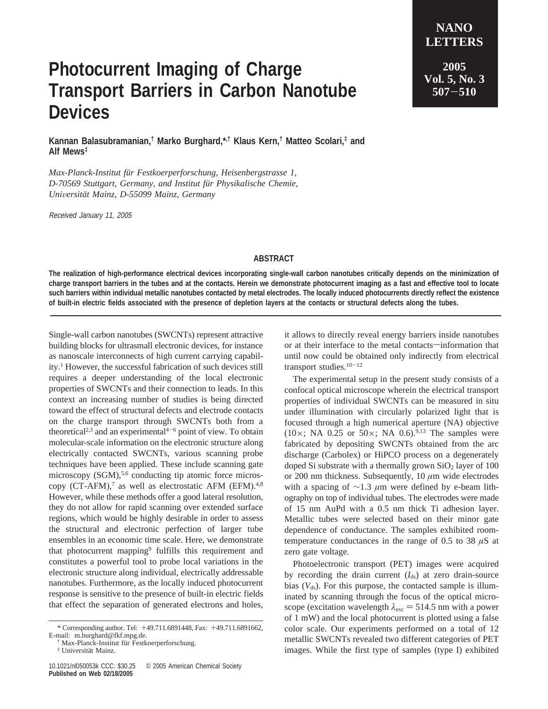## **Photocurrent Imaging of Charge Transport Barriers in Carbon Nanotube Devices**

## **NANO LETTERS 2005 Vol. 5, No. 3 <sup>507</sup>**-**<sup>510</sup>**

**Kannan Balasubramanian,† Marko Burghard,\*,† Klaus Kern,† Matteo Scolari,‡ and Alf Mews‡**

*Max-Planck-Institut fu¨r Festkoerperforschung, Heisenbergstrasse 1, D-70569 Stuttgart, Germany, and Institut fu¨r Physikalische Chemie, Uni*V*ersita¨t Mainz, D-55099 Mainz, Germany*

Received January 11, 2005

## **ABSTRACT**

**The realization of high-performance electrical devices incorporating single-wall carbon nanotubes critically depends on the minimization of charge transport barriers in the tubes and at the contacts. Herein we demonstrate photocurrent imaging as a fast and effective tool to locate such barriers within individual metallic nanotubes contacted by metal electrodes. The locally induced photocurrents directly reflect the existence of built-in electric fields associated with the presence of depletion layers at the contacts or structural defects along the tubes.**

Single-wall carbon nanotubes (SWCNTs) represent attractive building blocks for ultrasmall electronic devices, for instance as nanoscale interconnects of high current carrying capability.1 However, the successful fabrication of such devices still requires a deeper understanding of the local electronic properties of SWCNTs and their connection to leads. In this context an increasing number of studies is being directed toward the effect of structural defects and electrode contacts on the charge transport through SWCNTs both from a theoretical<sup>2,3</sup> and an experimental<sup>4-6</sup> point of view. To obtain molecular-scale information on the electronic structure along electrically contacted SWCNTs, various scanning probe techniques have been applied. These include scanning gate microscopy  $(SGM)$ ,<sup>5,6</sup> conducting tip atomic force microscopy  $(CT-AFM)$ ,<sup>7</sup> as well as electrostatic AFM  $(EFM)$ .<sup>4,8</sup> However, while these methods offer a good lateral resolution, they do not allow for rapid scanning over extended surface regions, which would be highly desirable in order to assess the structural and electronic perfection of larger tube ensembles in an economic time scale. Here, we demonstrate that photocurrent mapping<sup>9</sup> fulfills this requirement and constitutes a powerful tool to probe local variations in the electronic structure along individual, electrically addressable nanotubes. Furthermore, as the locally induced photocurrent response is sensitive to the presence of built-in electric fields that effect the separation of generated electrons and holes,

it allows to directly reveal energy barriers inside nanotubes or at their interface to the metal contacts—information that until now could be obtained only indirectly from electrical transport studies.<sup>10-12</sup>

The experimental setup in the present study consists of a confocal optical microscope wherein the electrical transport properties of individual SWCNTs can be measured in situ under illumination with circularly polarized light that is focused through a high numerical aperture (NA) objective (10 $\times$ ; NA 0.25 or 50 $\times$ ; NA 0.6).<sup>9,13</sup> The samples were fabricated by depositing SWCNTs obtained from the arc discharge (Carbolex) or HiPCO process on a degenerately doped Si substrate with a thermally grown  $SiO<sub>2</sub>$  layer of 100 or 200 nm thickness. Subsequently, 10 *µ*m wide electrodes with a spacing of ∼1.3 *µ*m were defined by e-beam lithography on top of individual tubes. The electrodes were made of 15 nm AuPd with a 0.5 nm thick Ti adhesion layer. Metallic tubes were selected based on their minor gate dependence of conductance. The samples exhibited roomtemperature conductances in the range of 0.5 to 38  $\mu$ S at zero gate voltage.

Photoelectronic transport (PET) images were acquired by recording the drain current  $(I_{ds})$  at zero drain-source bias  $(V_{ds})$ . For this purpose, the contacted sample is illuminated by scanning through the focus of the optical microscope (excitation wavelength  $\lambda_{\text{exc}} = 514.5$  nm with a power of 1 mW) and the local photocurrent is plotted using a false color scale. Our experiments performed on a total of 12 metallic SWCNTs revealed two different categories of PET images. While the first type of samples (type I) exhibited

<sup>\*</sup> Corresponding author. Tel: +49.711.6891448, Fax: +49.711.6891662, E-mail: m.burghard@fkf.mpg.de.

**Max-Planck-Institut für Festkoerperforschung.** 

<sup>‡</sup> Universita¨t Mainz.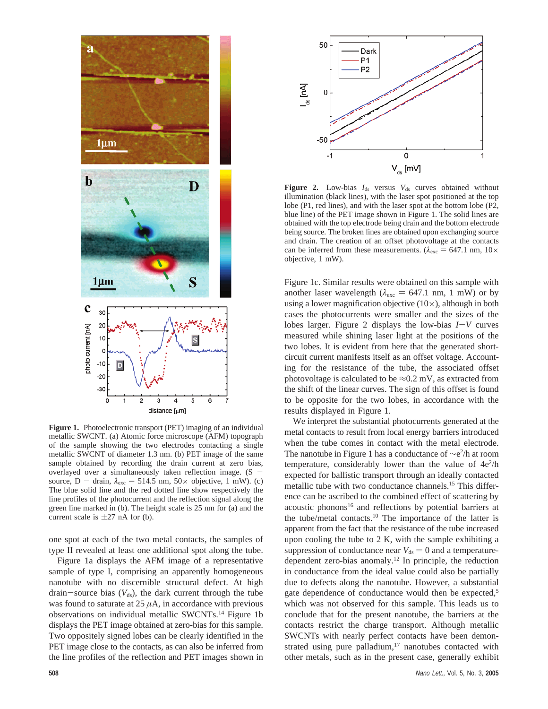

**Figure 1.** Photoelectronic transport (PET) imaging of an individual metallic SWCNT. (a) Atomic force microscope (AFM) topograph of the sample showing the two electrodes contacting a single metallic SWCNT of diameter 1.3 nm. (b) PET image of the same sample obtained by recording the drain current at zero bias, overlayed over a simultaneously taken reflection image. (S source,  $D - \text{drain}$ ,  $\lambda_{\text{exc}} = 514.5 \text{ nm}$ ,  $50 \times \text{objective}$ , 1 mW). (c) The blue solid line and the red dotted line show respectively the line profiles of the photocurrent and the reflection signal along the green line marked in (b). The height scale is 25 nm for (a) and the current scale is  $\pm 27$  nA for (b).

one spot at each of the two metal contacts, the samples of type II revealed at least one additional spot along the tube.

Figure 1a displays the AFM image of a representative sample of type I, comprising an apparently homogeneous nanotube with no discernible structural defect. At high drain-source bias  $(V_{ds})$ , the dark current through the tube was found to saturate at  $25 \mu A$ , in accordance with previous observations on individual metallic SWCNTs.14 Figure 1b displays the PET image obtained at zero-bias for this sample. Two oppositely signed lobes can be clearly identified in the PET image close to the contacts, as can also be inferred from the line profiles of the reflection and PET images shown in



Figure 2. Low-bias  $I_{ds}$  versus  $V_{ds}$  curves obtained without illumination (black lines), with the laser spot positioned at the top lobe (P1, red lines), and with the laser spot at the bottom lobe (P2, blue line) of the PET image shown in Figure 1. The solid lines are obtained with the top electrode being drain and the bottom electrode being source. The broken lines are obtained upon exchanging source and drain. The creation of an offset photovoltage at the contacts can be inferred from these measurements. ( $\lambda_{\rm exc} = 647.1$  nm,  $10 \times$ objective, 1 mW).

Figure 1c. Similar results were obtained on this sample with another laser wavelength ( $\lambda_{\rm exc}$  = 647.1 nm, 1 mW) or by using a lower magnification objective  $(10\times)$ , although in both cases the photocurrents were smaller and the sizes of the lobes larger. Figure 2 displays the low-bias *<sup>I</sup>*-*<sup>V</sup>* curves measured while shining laser light at the positions of the two lobes. It is evident from here that the generated shortcircuit current manifests itself as an offset voltage. Accounting for the resistance of the tube, the associated offset photovoltage is calculated to be  $\approx 0.2$  mV, as extracted from the shift of the linear curves. The sign of this offset is found to be opposite for the two lobes, in accordance with the results displayed in Figure 1.

We interpret the substantial photocurrents generated at the metal contacts to result from local energy barriers introduced when the tube comes in contact with the metal electrode. The nanotube in Figure 1 has a conductance of  $\sim$ e<sup>2</sup>/h at room temperature, considerably lower than the value of  $4e^2/h$ expected for ballistic transport through an ideally contacted metallic tube with two conductance channels.<sup>15</sup> This difference can be ascribed to the combined effect of scattering by acoustic phonons<sup>16</sup> and reflections by potential barriers at the tube/metal contacts.10 The importance of the latter is apparent from the fact that the resistance of the tube increased upon cooling the tube to 2 K, with the sample exhibiting a suppression of conductance near  $V_{ds} = 0$  and a temperaturedependent zero-bias anomaly.12 In principle, the reduction in conductance from the ideal value could also be partially due to defects along the nanotube. However, a substantial gate dependence of conductance would then be expected,<sup>5</sup> which was not observed for this sample. This leads us to conclude that for the present nanotube, the barriers at the contacts restrict the charge transport. Although metallic SWCNTs with nearly perfect contacts have been demonstrated using pure palladium, $17$  nanotubes contacted with other metals, such as in the present case, generally exhibit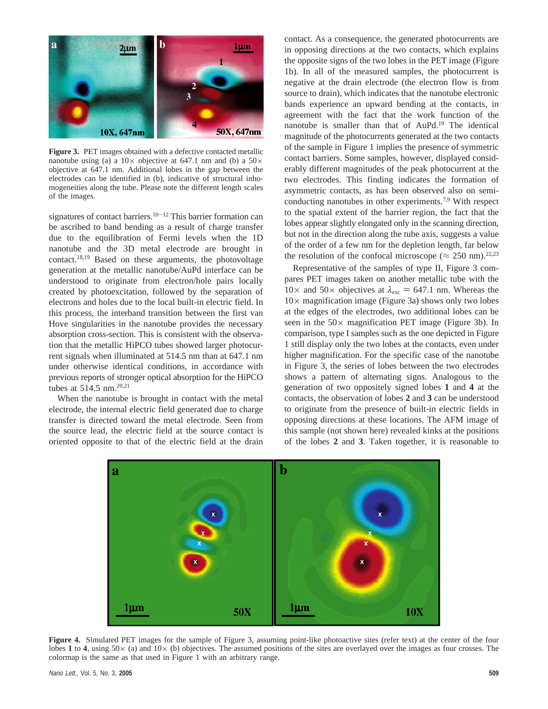

**Figure 3.** PET images obtained with a defective contacted metallic nanotube using (a) a  $10\times$  objective at 647.1 nm and (b) a  $50\times$ objective at 647.1 nm. Additional lobes in the gap between the electrodes can be identified in (b), indicative of structural inhomogeneities along the tube. Please note the different length scales of the images.

signatures of contact barriers.<sup>10-12</sup> This barrier formation can be ascribed to band bending as a result of charge transfer due to the equilibration of Fermi levels when the 1D nanotube and the 3D metal electrode are brought in contact.18,19 Based on these arguments, the photovoltage generation at the metallic nanotube/AuPd interface can be understood to originate from electron/hole pairs locally created by photoexcitation, followed by the separation of electrons and holes due to the local built-in electric field. In this process, the interband transition between the first van Hove singularities in the nanotube provides the necessary absorption cross-section. This is consistent with the observation that the metallic HiPCO tubes showed larger photocurrent signals when illuminated at 514.5 nm than at 647.1 nm under otherwise identical conditions, in accordance with previous reports of stronger optical absorption for the HiPCO tubes at  $514.5$  nm.<sup>20,21</sup>

When the nanotube is brought in contact with the metal electrode, the internal electric field generated due to charge transfer is directed toward the metal electrode. Seen from the source lead, the electric field at the source contact is oriented opposite to that of the electric field at the drain contact. As a consequence, the generated photocurrents are in opposing directions at the two contacts, which explains the opposite signs of the two lobes in the PET image (Figure 1b). In all of the measured samples, the photocurrent is negative at the drain electrode (the electron flow is from source to drain), which indicates that the nanotube electronic bands experience an upward bending at the contacts, in agreement with the fact that the work function of the nanotube is smaller than that of AuPd.19 The identical magnitude of the photocurrents generated at the two contacts of the sample in Figure 1 implies the presence of symmetric contact barriers. Some samples, however, displayed considerably different magnitudes of the peak photocurrent at the two electrodes. This finding indicates the formation of asymmetric contacts, as has been observed also on semiconducting nanotubes in other experiments.7,9 With respect to the spatial extent of the barrier region, the fact that the lobes appear slightly elongated only in the scanning direction, but not in the direction along the tube axis, suggests a value of the order of a few nm for the depletion length, far below the resolution of the confocal microscope ( $\approx 250$  nm).<sup>22,23</sup>

Representative of the samples of type II, Figure 3 compares PET images taken on another metallic tube with the  $10\times$  and  $50\times$  objectives at  $\lambda_{\text{exc}} = 647.1$  nm. Whereas the  $10\times$  magnification image (Figure 3a) shows only two lobes at the edges of the electrodes, two additional lobes can be seen in the  $50\times$  magnification PET image (Figure 3b). In comparison, type I samples such as the one depicted in Figure 1 still display only the two lobes at the contacts, even under higher magnification. For the specific case of the nanotube in Figure 3, the series of lobes between the two electrodes shows a pattern of alternating signs. Analogous to the generation of two oppositely signed lobes **1** and **4** at the contacts, the observation of lobes **2** and **3** can be understood to originate from the presence of built-in electric fields in opposing directions at these locations. The AFM image of this sample (not shown here) revealed kinks at the positions of the lobes **2** and **3**. Taken together, it is reasonable to



Figure 4. Simulated PET images for the sample of Figure 3, assuming point-like photoactive sites (refer text) at the center of the four lobes 1 to 4, using  $50 \times$  (a) and  $10 \times$  (b) objectives. The assumed positions of the sites are overlayed over the images as four crosses. The colormap is the same as that used in Figure 1 with an arbitrary range.